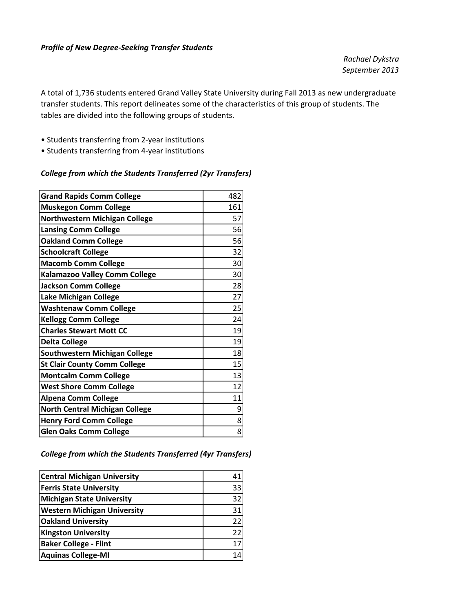#### *Profile of New Degree‐Seeking Transfer Students*

*Rachael Dykstra September 2013*

A total of 1,736 students entered Grand Valley State University during Fall 2013 as new undergraduate transfer students. This report delineates some of the characteristics of this group of students. The tables are divided into the following groups of students.

- Students transferring from 2‐year institutions
- Students transferring from 4‐year institutions

#### *College from which the Students Transferred (2yr Transfers)*

| <b>Grand Rapids Comm College</b>      | 482 |
|---------------------------------------|-----|
| <b>Muskegon Comm College</b>          | 161 |
| <b>Northwestern Michigan College</b>  | 57  |
| <b>Lansing Comm College</b>           | 56  |
| <b>Oakland Comm College</b>           | 56  |
| <b>Schoolcraft College</b>            | 32  |
| <b>Macomb Comm College</b>            | 30  |
| Kalamazoo Valley Comm College         | 30  |
| <b>Jackson Comm College</b>           | 28  |
| Lake Michigan College                 | 27  |
| <b>Washtenaw Comm College</b>         | 25  |
| <b>Kellogg Comm College</b>           | 24  |
| <b>Charles Stewart Mott CC</b>        | 19  |
| <b>Delta College</b>                  | 19  |
| <b>Southwestern Michigan College</b>  | 18  |
| <b>St Clair County Comm College</b>   | 15  |
| <b>Montcalm Comm College</b>          | 13  |
| <b>West Shore Comm College</b>        | 12  |
| <b>Alpena Comm College</b>            | 11  |
| <b>North Central Michigan College</b> | 9   |
| <b>Henry Ford Comm College</b>        | 8   |
| <b>Glen Oaks Comm College</b>         | 8   |

#### *College from which the Students Transferred (4yr Transfers)*

| <b>Central Michigan University</b> | 41 |
|------------------------------------|----|
| <b>Ferris State University</b>     | 33 |
| <b>Michigan State University</b>   | 32 |
| <b>Western Michigan University</b> | 31 |
| <b>Oakland University</b>          | 22 |
| <b>Kingston University</b>         | 22 |
| <b>Baker College - Flint</b>       | 17 |
| <b>Aquinas College-MI</b>          | 14 |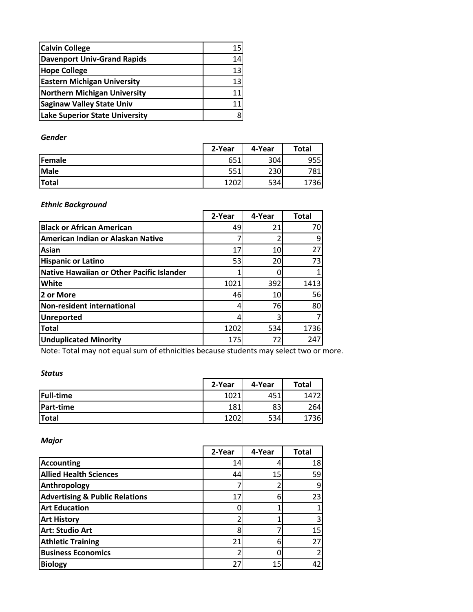| <b>Calvin College</b>                 | 15 |
|---------------------------------------|----|
| <b>Davenport Univ-Grand Rapids</b>    | 14 |
| <b>Hope College</b>                   | 13 |
| <b>Eastern Michigan University</b>    | 13 |
| <b>Northern Michigan University</b>   | 11 |
| <b>Saginaw Valley State Univ</b>      | 11 |
| <b>Lake Superior State University</b> |    |

### *Gender*

|                | 2-Year | 4-Year | <b>Total</b> |
|----------------|--------|--------|--------------|
| <b>lFemale</b> | 651    | 304    | 955          |
| <b>Male</b>    | 551    | 230    | 781          |
| Total          | 1202   | 534    | 1736         |

### *Ethnic Background*

|                                           | 2-Year | 4-Year | <b>Total</b> |
|-------------------------------------------|--------|--------|--------------|
| <b>Black or African American</b>          | 49     | 21     | 70           |
| American Indian or Alaskan Native         |        |        | 9            |
| Asian                                     | 17     | 10     | 27           |
| <b>Hispanic or Latino</b>                 | 53     | 20     | 73           |
| Native Hawaiian or Other Pacific Islander |        |        | 1            |
| White                                     | 1021   | 392    | 1413         |
| 2 or More                                 | 46     | 10     | 56           |
| Non-resident international                |        | 76     | 80           |
| <b>Unreported</b>                         |        |        | 7            |
| <b>Total</b>                              | 1202   | 534    | 1736         |
| <b>Unduplicated Minority</b>              | 175    | 72     | 247          |

Note: Total may not equal sum of ethnicities because students may select two or more.

### *Status*

|                  | 2-Year | 4-Year | Total |
|------------------|--------|--------|-------|
| <b>Full-time</b> | 1021   | 451    | 1472  |
| Part-time        | 181    | 83     | 264   |
| <b>Total</b>     | 1202   | 534    | '36I  |

*Major*

|                                           | 2-Year | 4-Year | <b>Total</b> |
|-------------------------------------------|--------|--------|--------------|
| <b>Accounting</b>                         | 14     |        | 18           |
| <b>Allied Health Sciences</b>             | 44     | 15     | 59           |
| Anthropology                              |        |        | 9            |
| <b>Advertising &amp; Public Relations</b> | 17     |        | 23           |
| <b>Art Education</b>                      |        |        |              |
| <b>Art History</b>                        |        |        | 3            |
| <b>Art: Studio Art</b>                    |        |        | 15           |
| <b>Athletic Training</b>                  | 21     | 6      | 27           |
| <b>Business Economics</b>                 |        |        |              |
| <b>Biology</b>                            | 27     | 15     | 42           |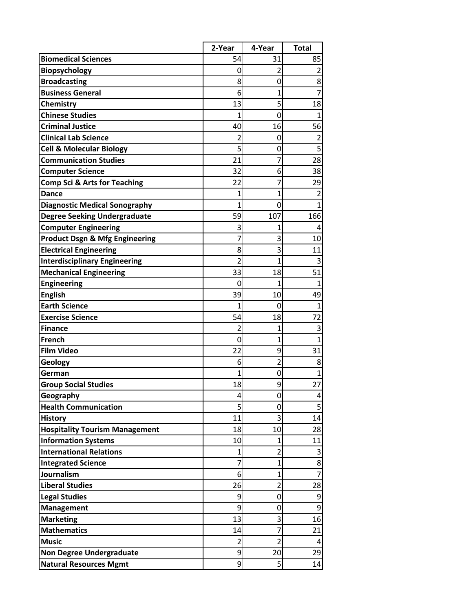|                                                                     | 2-Year         | 4-Year              | <b>Total</b>   |
|---------------------------------------------------------------------|----------------|---------------------|----------------|
| <b>Biomedical Sciences</b>                                          | 54             | 31                  | 85             |
| <b>Biopsychology</b>                                                | 0              | $\overline{2}$      | $\overline{2}$ |
| <b>Broadcasting</b>                                                 | 8              | 0                   | 8              |
| <b>Business General</b>                                             | 6              | $\overline{1}$      | $\overline{7}$ |
| Chemistry                                                           | 13             | 5                   | 18             |
| <b>Chinese Studies</b>                                              | 1              | 0                   | $\mathbf{1}$   |
| <b>Criminal Justice</b>                                             | 40             | 16                  | 56             |
| <b>Clinical Lab Science</b>                                         | 2              | 0                   | 2              |
| <b>Cell &amp; Molecular Biology</b>                                 | 5              | 0                   | 5              |
| <b>Communication Studies</b>                                        | 21             | 7                   | 28             |
| <b>Computer Science</b>                                             | 32             | 6                   | 38             |
| <b>Comp Sci &amp; Arts for Teaching</b>                             | 22             | 7                   | 29             |
| <b>Dance</b>                                                        | 1              | 1                   | $\overline{2}$ |
| <b>Diagnostic Medical Sonography</b>                                | $\overline{1}$ | 0                   | 1              |
| <b>Degree Seeking Undergraduate</b>                                 | 59             | 107                 | 166            |
| <b>Computer Engineering</b>                                         | 3              | 1                   | 4              |
| <b>Product Dsgn &amp; Mfg Engineering</b>                           | 7              | 3                   | 10             |
| <b>Electrical Engineering</b>                                       | 8              | 3                   | 11             |
| <b>Interdisciplinary Engineering</b>                                | $\overline{2}$ | 1                   | 3              |
| <b>Mechanical Engineering</b>                                       | 33             | 18                  | 51             |
| <b>Engineering</b>                                                  | 0              | $\overline{1}$      | $\mathbf{1}$   |
| <b>English</b>                                                      | 39             | 10                  | 49             |
| <b>Earth Science</b>                                                | 1              | $\overline{0}$      | $\mathbf{1}$   |
| <b>Exercise Science</b>                                             | 54             | 18                  | 72             |
| <b>Finance</b>                                                      | 2              | 1                   | 3              |
| French                                                              | 0              | 1                   | $\mathbf{1}$   |
| <b>Film Video</b>                                                   | 22             | 9                   | 31             |
| Geology                                                             | 6              | $\overline{2}$      | 8              |
| German                                                              |                | 0                   | 1              |
| <b>Group Social Studies</b>                                         | 18             | 9                   | 27             |
| Geography                                                           | 4              | 0                   | 4              |
| <b>Health Communication</b>                                         | 5              | 0                   | 5              |
| <b>History</b>                                                      | 11             | 3                   | 14             |
| <b>Hospitality Tourism Management</b><br><b>Information Systems</b> | 18             | 10                  | 28<br>11       |
| <b>International Relations</b>                                      | 10<br>1        | 1<br>$\overline{2}$ |                |
| <b>Integrated Science</b>                                           | 7              | 1                   | 3<br>8         |
| <b>Journalism</b>                                                   | 6              | $\mathbf 1$         | $\overline{7}$ |
| <b>Liberal Studies</b>                                              | 26             | $\overline{2}$      | 28             |
| <b>Legal Studies</b>                                                | 9              | 0                   | 9              |
| <b>Management</b>                                                   | 9              | 0                   | 9              |
| <b>Marketing</b>                                                    | 13             | 3                   | 16             |
| <b>Mathematics</b>                                                  | 14             | 7                   | 21             |
| <b>Music</b>                                                        | $\overline{2}$ | $\overline{2}$      | 4              |
| <b>Non Degree Undergraduate</b>                                     | 9              | 20                  | 29             |
| <b>Natural Resources Mgmt</b>                                       | 9              | 5                   | 14             |
|                                                                     |                |                     |                |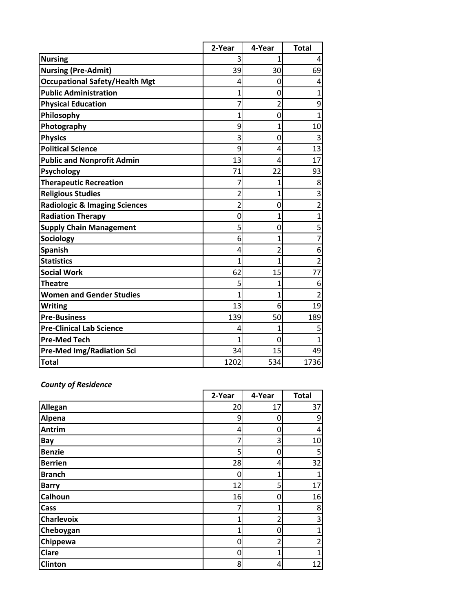|                                          | 2-Year         | 4-Year         | <b>Total</b>   |
|------------------------------------------|----------------|----------------|----------------|
| <b>Nursing</b>                           | 3              | 1              | 4              |
| <b>Nursing (Pre-Admit)</b>               | 39             | 30             | 69             |
| <b>Occupational Safety/Health Mgt</b>    | 4              | 0              | 4              |
| <b>Public Administration</b>             | 1              | 0              | $\mathbf{1}$   |
| <b>Physical Education</b>                | 7              | 2              | 9              |
| Philosophy                               | $\overline{1}$ | 0              | $\overline{1}$ |
| Photography                              | 9              | 1              | 10             |
| <b>Physics</b>                           | 3              | $\mathbf 0$    | 3              |
| <b>Political Science</b>                 | 9              | 4              | 13             |
| <b>Public and Nonprofit Admin</b>        | 13             | 4              | 17             |
| <b>Psychology</b>                        | 71             | 22             | 93             |
| <b>Therapeutic Recreation</b>            | 7              | 1              | 8              |
| <b>Religious Studies</b>                 | 2              | 1              | 3              |
| <b>Radiologic &amp; Imaging Sciences</b> | 2              | 0              | $\overline{c}$ |
| <b>Radiation Therapy</b>                 | 0              | $\overline{1}$ | $\overline{1}$ |
| <b>Supply Chain Management</b>           | 5              | 0              | 5              |
| Sociology                                | 6              | 1              | $\overline{7}$ |
| <b>Spanish</b>                           | 4              | 2              | 6              |
| <b>Statistics</b>                        | 1              | $\overline{1}$ | $\overline{2}$ |
| <b>Social Work</b>                       | 62             | 15             | 77             |
| Theatre                                  | 5              | 1              | 6              |
| <b>Women and Gender Studies</b>          | 1              | 1              | $\overline{2}$ |
| <b>Writing</b>                           | 13             | 6              | 19             |
| <b>Pre-Business</b>                      | 139            | 50             | 189            |
| <b>Pre-Clinical Lab Science</b>          | 4              | 1              | 5              |
| <b>Pre-Med Tech</b>                      | 1              | 0              | 1              |
| <b>Pre-Med Img/Radiation Sci</b>         | 34             | 15             | 49             |
| <b>Total</b>                             | 1202           | 534            | 1736           |

# *County of Residence*

|                   | 2-Year | 4-Year | <b>Total</b> |
|-------------------|--------|--------|--------------|
| Allegan           | 20     | 17     | 37           |
| Alpena            | 9      | O      | 9            |
| Antrim            | 4      | 0      | 4            |
| Bay               | 7      | 3      | 10           |
| <b>Benzie</b>     | 5      | 0      | 5            |
| <b>Berrien</b>    | 28     | 4      | 32           |
| <b>Branch</b>     | 0      | 1      | 1            |
| <b>Barry</b>      | 12     | 5      | 17           |
| <b>Calhoun</b>    | 16     | 0      | 16           |
| Cass              |        |        | 8            |
| <b>Charlevoix</b> | 1      | 2      | 3            |
| Cheboygan         | 1      | 0      | 1            |
| Chippewa          | 0      | 2      | 2            |
| <b>Clare</b>      | 0      | 1      |              |
| <b>Clinton</b>    | 8      | 4      | 12           |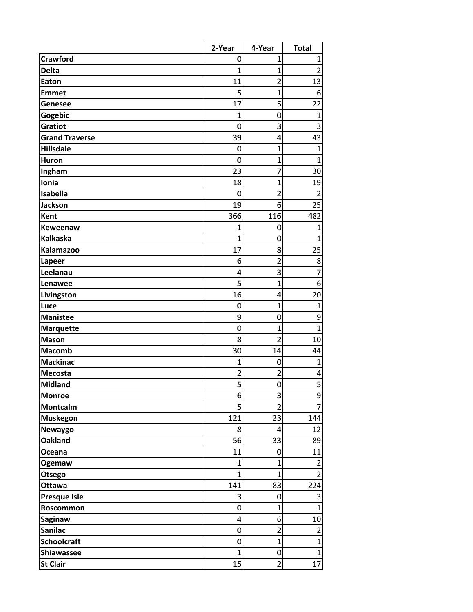|                       | 2-Year         | 4-Year           | <b>Total</b>            |
|-----------------------|----------------|------------------|-------------------------|
| <b>Crawford</b>       | 0              | 1                | 1                       |
| <b>Delta</b>          | 1              | $\overline{1}$   | $\overline{2}$          |
| Eaton                 | 11             | $\overline{2}$   | 13                      |
| <b>Emmet</b>          | 5              | $\overline{1}$   | 6                       |
| Genesee               | 17             | 5                | 22                      |
| Gogebic               | $\overline{1}$ | 0                | $\mathbf{1}$            |
| Gratiot               | 0              | 3                | 3                       |
| <b>Grand Traverse</b> | 39             | 4                | 43                      |
| <b>Hillsdale</b>      | 0              | $\overline{1}$   | $\overline{1}$          |
| <b>Huron</b>          | 0              | $\overline{1}$   | 1                       |
| Ingham                | 23             | 7                | 30                      |
| Ionia                 | 18             | $\overline{1}$   | 19                      |
| Isabella              | 0              | $\overline{2}$   | $\overline{2}$          |
| <b>Jackson</b>        | 19             | 6                | 25                      |
| Kent                  | 366            | 116              | 482                     |
| Keweenaw              | 1              | 0                | $\mathbf{1}$            |
| <b>Kalkaska</b>       | 1              | 0                | 1                       |
| <b>Kalamazoo</b>      | 17             | 8                | 25                      |
| Lapeer                | 6              | $\overline{2}$   | 8                       |
| Leelanau              | 4              | 3                | 7                       |
| Lenawee               | 5              | $\overline{1}$   | 6                       |
| Livingston            | 16             | 4                | 20                      |
| Luce                  | 0              | $\overline{1}$   | $\mathbf{1}$            |
| <b>Manistee</b>       | 9              | 0                | 9                       |
| <b>Marquette</b>      | $\mathbf 0$    | $\mathbf{1}$     | $\mathbf{1}$            |
| <b>Mason</b>          | 8              | $\overline{2}$   | 10                      |
| <b>Macomb</b>         | 30             | 14               | 44                      |
| <b>Mackinac</b>       | $\mathbf 1$    | 0                | $\mathbf{1}$            |
| <b>Mecosta</b>        | $\overline{2}$ | 2                | 4                       |
| <b>Midland</b>        | 5              | 0                | $\overline{5}$          |
| <b>Monroe</b>         | 6              | 3                | 9                       |
| Montcalm              | 5              | $\overline{2}$   | $\overline{7}$          |
| Muskegon              | 121            | 23               | 144                     |
| <b>Newaygo</b>        | 8              | $\overline{4}$   | 12                      |
| <b>Oakland</b>        | 56             | 33               | 89                      |
| Oceana                | 11             | 0                | 11                      |
| <b>Ogemaw</b>         | $\mathbf{1}$   | $\overline{1}$   | $\overline{2}$          |
| Otsego                | $\mathbf{1}$   | $\mathbf{1}$     | $\overline{2}$          |
| <b>Ottawa</b>         | 141            | 83               | 224                     |
| <b>Presque Isle</b>   | 3              | 0                | $\overline{\mathbf{3}}$ |
| Roscommon             | $\mathbf 0$    | $\mathbf 1$      | $\overline{1}$          |
| <b>Saginaw</b>        | 4              | 6                | 10                      |
| <b>Sanilac</b>        | $\mathbf 0$    | $\overline{2}$   | $\overline{2}$          |
| <b>Schoolcraft</b>    | $\mathbf 0$    | $\overline{1}$   | $\mathbf{1}$            |
| <b>Shiawassee</b>     | $\overline{1}$ | $\boldsymbol{0}$ | $\overline{1}$          |
| <b>St Clair</b>       | 15             | $\overline{2}$   | 17                      |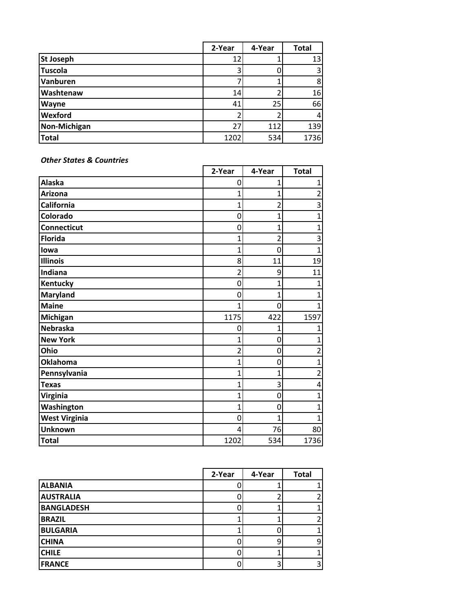|                     | 2-Year | 4-Year | <b>Total</b> |
|---------------------|--------|--------|--------------|
| <b>St Joseph</b>    | 12     |        | 13           |
| <b>Tuscola</b>      |        |        | 3            |
| Vanburen            |        |        | 8            |
| Washtenaw           | 14     |        | 16           |
| Wayne               | 41     | 25     | 66           |
| Wexford             |        |        | 4            |
| <b>Non-Michigan</b> | 27     | 112    | 139          |
| Total               | 1202   | 534    | 1736         |

*Other States & Countries*

|                      | 2-Year | 4-Year | <b>Total</b>   |
|----------------------|--------|--------|----------------|
| <b>Alaska</b>        | 0      | 1      | 1              |
| <b>Arizona</b>       | 1      |        | 2              |
| California           | 1      | 2      | 3              |
| Colorado             | 0      | 1      | 1              |
| <b>Connecticut</b>   | 0      | 1      | 1              |
| <b>Florida</b>       | 1      | 2      | 3              |
| lowa                 | 1      | 0      | 1              |
| <b>Illinois</b>      | 8      | 11     | 19             |
| Indiana              | 2      | 9      | 11             |
| Kentucky             | 0      |        | 1              |
| <b>Maryland</b>      | 0      | 1      |                |
| <b>Maine</b>         | 1      | 0      | 1              |
| Michigan             | 1175   | 422    | 1597           |
| <b>Nebraska</b>      | 0      | 1      |                |
| <b>New York</b>      | 1      | 0      | 1              |
| Ohio                 | 2      | 0      | 2              |
| <b>Oklahoma</b>      | 1      | 0      | 1              |
| Pennsylvania         | 1      |        | $\overline{c}$ |
| <b>Texas</b>         | 1      | 3      | 4              |
| <b>Virginia</b>      | 1      | 0      | 1              |
| Washington           | 1      | 0      | 1              |
| <b>West Virginia</b> | 0      | 1      | 1              |
| <b>Unknown</b>       | 4      | 76     | 80             |
| <b>Total</b>         | 1202   | 534    | 1736           |

|                   | 2-Year | 4-Year | <b>Total</b> |
|-------------------|--------|--------|--------------|
| <b>ALBANIA</b>    |        |        |              |
| <b>AUSTRALIA</b>  |        |        |              |
| <b>BANGLADESH</b> |        |        |              |
| <b>BRAZIL</b>     |        |        |              |
| <b>BULGARIA</b>   |        |        |              |
| <b>CHINA</b>      |        |        | 9            |
| <b>CHILE</b>      |        |        |              |
| <b>FRANCE</b>     |        |        |              |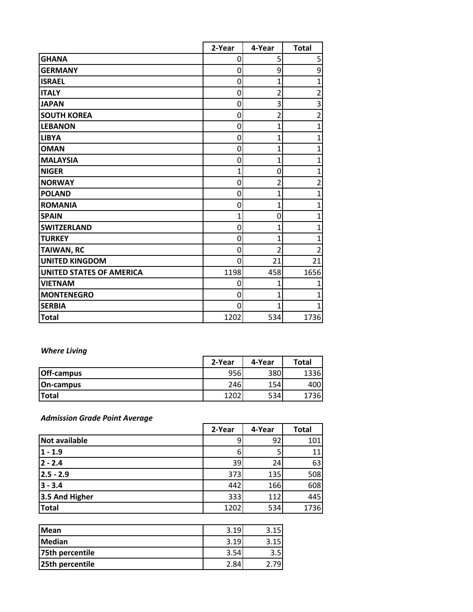|                                 | 2-Year   | 4-Year | <b>Total</b>   |
|---------------------------------|----------|--------|----------------|
| <b>GHANA</b>                    | 0        | 5      | 5              |
| <b>GERMANY</b>                  | 0        | 9      | 9              |
| <b>ISRAEL</b>                   | 0        |        | 1              |
| <b>ITALY</b>                    | 0        | 2      | $\overline{c}$ |
| <b>JAPAN</b>                    | 0        | 3      | 3              |
| <b>SOUTH KOREA</b>              | 0        |        | $\overline{2}$ |
| <b>LEBANON</b>                  | 0        |        | 1              |
| <b>LIBYA</b>                    | 0        |        | 1              |
| <b>OMAN</b>                     | 0        |        | 1              |
| <b>MALAYSIA</b>                 | 0        |        | 1              |
| <b>NIGER</b>                    | 1        | 0      | 1              |
| <b>NORWAY</b>                   | 0        |        | $\overline{2}$ |
| <b>POLAND</b>                   | $\Omega$ |        | 1              |
| <b>ROMANIA</b>                  | 0        |        | 1              |
| <b>SPAIN</b>                    | 1        | 0      | 1              |
| <b>SWITZERLAND</b>              | 0        |        | 1              |
| <b>TURKEY</b>                   | 0        |        | 1              |
| <b>TAIWAN, RC</b>               | 0        |        | 2              |
| <b>UNITED KINGDOM</b>           | $\Omega$ | 21     | 21             |
| <b>UNITED STATES OF AMERICA</b> | 1198     | 458    | 1656           |
| <b>VIETNAM</b>                  | 0        |        | 1              |
| <b>MONTENEGRO</b>               | 0        |        | 1              |
| <b>SERBIA</b>                   | 0        |        | 1              |
| <b>Total</b>                    | 1202     | 534    | 1736           |

# *Where Living*

|                   | 2-Year | 4-Year | <b>Total</b> |
|-------------------|--------|--------|--------------|
| <b>Off-campus</b> | 956    | 380    | 1336         |
| <b>On-campus</b>  | 246    | 154    | 4001         |
| <b>Total</b>      | 1202   | 534    | 1736         |

# *Admission Grade Point Average*

|                      | 2-Year | 4-Year | <b>Total</b> |
|----------------------|--------|--------|--------------|
| <b>Not available</b> |        | 92     | 101          |
| $1 - 1.9$            |        |        | 11           |
| $ 2 - 2.4 $          | 39     | 24     | 63           |
| $ 2.5 - 2.9$         | 373    | 135    | 508          |
| $ 3 - 3.4 $          | 442    | 166    | 608          |
| 3.5 And Higher       | 333    | 112    | 445          |
| <b>Total</b>         | 1202   | 534    | 1736         |

| <b>IMean</b>    | 3.19 | .15<br>ર |
|-----------------|------|----------|
| Median          | 3.19 | 15       |
| 75th percentile |      | 3.5      |
| 25th percentile | 2.84 | 79       |